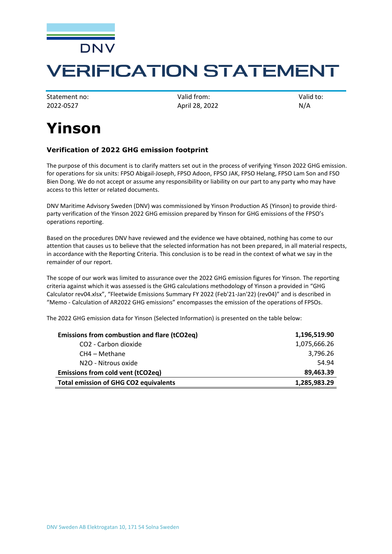

## **VERIFICATION STATEMENT**

2022-0527 April 28, 2022 N/A

Statement no: Valid from: Valid from: Valid to:

## **Yinson**

## **Verification of 2022 GHG emission footprint**

The purpose of this document is to clarify matters set out in the process of verifying Yinson 2022 GHG emission. for operations for six units: FPSO Abigail-Joseph, FPSO Adoon, FPSO JAK, FPSO Helang, FPSO Lam Son and FSO Bien Dong. We do not accept or assume any responsibility or liability on our part to any party who may have access to this letter or related documents.

DNV Maritime Advisory Sweden (DNV) was commissioned by Yinson Production AS (Yinson) to provide thirdparty verification of the Yinson 2022 GHG emission prepared by Yinson for GHG emissions of the FPSO's operations reporting.

Based on the procedures DNV have reviewed and the evidence we have obtained, nothing has come to our attention that causes us to believe that the selected information has not been prepared, in all material respects, in accordance with the Reporting Criteria. This conclusion is to be read in the context of what we say in the remainder of our report.

The scope of our work was limited to assurance over the 2022 GHG emission figures for Yinson. The reporting criteria against which it was assessed is the GHG calculations methodology of Yinson a provided in "GHG Calculator rev04.xlsx", "Fleetwide Emissions Summary FY 2022 (Feb'21-Jan'22) (rev04)" and is described in "Memo - Calculation of AR2022 GHG emissions" encompasses the emission of the operations of FPSOs.

The 2022 GHG emission data for Yinson (Selected Information) is presented on the table below:

| Emissions from combustion and flare (tCO2eq) | 1,196,519.90 |
|----------------------------------------------|--------------|
| CO2 - Carbon dioxide                         | 1,075,666.26 |
| CH4 – Methane                                | 3,796.26     |
| N2O - Nitrous oxide                          | 54.94        |
| Emissions from cold vent (tCO2eq)            | 89,463.39    |
| <b>Total emission of GHG CO2 equivalents</b> | 1,285,983.29 |